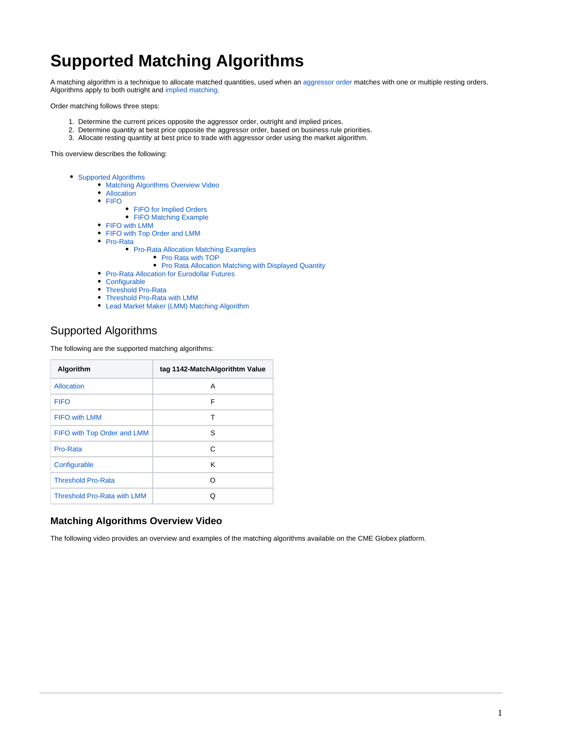# **Supported Matching Algorithms**

A matching algorithm is a technique to allocate matched quantities, used when an [aggressor order](https://www.cmegroup.com/confluence/display/EPICSANDBOX/Order+Functionalities#OrderFunctionalities-OrderAggressorIndicator) matches with one or multiple resting orders. Algorithms apply to both outright and [implied matching](https://www.cmegroup.com/confluence/display/EPICSANDBOX/Implied+Orders).

Order matching follows three steps:

- 1. Determine the current prices opposite the aggressor order, outright and implied prices.
- 2. Determine quantity at best price opposite the aggressor order, based on business rule priorities.
- 3. Allocate resting quantity at best price to trade with aggressor order using the market algorithm.

This overview describes the following:

- [Supported Algorithms](#page-0-0)
	- **[Matching Algorithms Overview Video](#page-0-1)**
	- [Allocation](#page-1-0)
	- $F = F = 1$ 
		- [FIFO for Implied Orders](#page-1-2)
		- [FIFO Matching Example](#page-1-3)
	- [FIFO with LMM](#page-2-0)
	- [FIFO with Top Order and LMM](#page-2-1)
	- [Pro-Rata](#page-2-2)
		- [Pro-Rata Allocation Matching Examples](#page-2-3)
			- [Pro Rata with TOP](#page-2-4)
			- [Pro Rata Allocation Matching with Displayed Quantity](#page-3-0)
	- [Pro-Rata Allocation for Eurodollar Futures](#page-3-1)
	- [Configurable](#page-4-0)
	- [Threshold Pro-Rata](#page-4-1)
	- [Threshold Pro-Rata with LMM](#page-4-2)
	- [Lead Market Maker \(LMM\) Matching Algorithm](#page-5-0)

# <span id="page-0-0"></span>Supported Algorithms

The following are the supported matching algorithms:

| Algorithm                          | tag 1142-MatchAlgorithtm Value |
|------------------------------------|--------------------------------|
| Allocation                         | Α                              |
| <b>FIFO</b>                        | F                              |
| <b>FIFO with LMM</b>               | т                              |
| FIFO with Top Order and LMM        | S                              |
| Pro-Rata                           | C                              |
| Configurable                       | K                              |
| <b>Threshold Pro-Rata</b>          | ∩                              |
| <b>Threshold Pro-Rata with LMM</b> | Ω                              |

## <span id="page-0-1"></span>**Matching Algorithms Overview Video**

The following video provides an overview and examples of the matching algorithms available on the CME Globex platform.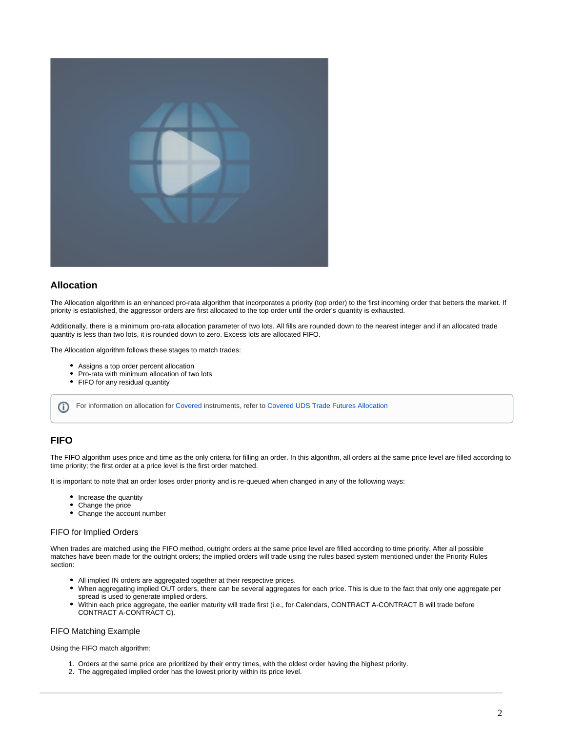

## <span id="page-1-0"></span>**Allocation**

The Allocation algorithm is an enhanced pro-rata algorithm that incorporates a priority (top order) to the first incoming order that betters the market. If priority is established, the aggressor orders are first allocated to the top order until the order's quantity is exhausted.

Additionally, there is a minimum pro-rata allocation parameter of two lots. All fills are rounded down to the nearest integer and if an allocated trade quantity is less than two lots, it is rounded down to zero. Excess lots are allocated FIFO.

The Allocation algorithm follows these stages to match trades:

- Assigns a top order percent allocation
- Pro-rata with minimum allocation of two lots
- FIFO for any residual quantity

For information on allocation for [Covered](https://www.cmegroup.com/confluence/display/EPICSANDBOX/Spreads+and+Combinations+Available+on+CME+Globex#SpreadsandCombinationsAvailableonCMEGlobex-UDSCoveredOptionsStrategies) instruments, refer to [Covered UDS Trade Futures Allocation](https://www.cmegroup.com/confluence/display/EPICSANDBOX/UDS+-+Validation+and+Messaging+Rules#UDSValidationandMessagingRules-CoveredUDSTradeFuturesAllocation)

# <span id="page-1-1"></span>**FIFO**

ന

The FIFO algorithm uses price and time as the only criteria for filling an order. In this algorithm, all orders at the same price level are filled according to time priority; the first order at a price level is the first order matched.

It is important to note that an order loses order priority and is re-queued when changed in any of the following ways:

- Increase the quantity
- Change the price
- Change the account number

#### <span id="page-1-2"></span>FIFO for Implied Orders

When trades are matched using the FIFO method, outright orders at the same price level are filled according to time priority. After all possible matches have been made for the outright orders; the implied orders will trade using the rules based system mentioned under the Priority Rules section:

- All implied IN orders are aggregated together at their respective prices.
- When aggregating implied OUT orders, there can be several aggregates for each price. This is due to the fact that only one aggregate per spread is used to generate implied orders.
- Within each price aggregate, the earlier maturity will trade first (i.e., for Calendars, CONTRACT A-CONTRACT B will trade before CONTRACT A-CONTRACT C).

#### <span id="page-1-3"></span>FIFO Matching Example

Using the FIFO match algorithm:

- 1. Orders at the same price are prioritized by their entry times, with the oldest order having the highest priority.
- 2. The aggregated implied order has the lowest priority within its price level.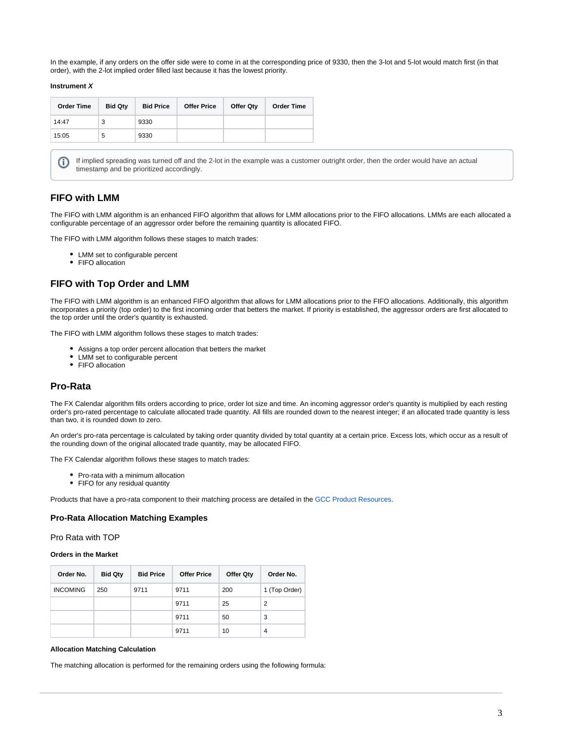In the example, if any orders on the offer side were to come in at the corresponding price of 9330, then the 3-lot and 5-lot would match first (in that order), with the 2-lot implied order filled last because it has the lowest priority.

#### **Instrument X**

(i)

| <b>Order Time</b> | <b>Bid Qty</b> | <b>Bid Price</b> | <b>Offer Price</b> | <b>Offer Qty</b> | <b>Order Time</b> |
|-------------------|----------------|------------------|--------------------|------------------|-------------------|
| 14:47             | 3              | 9330             |                    |                  |                   |
| 15:05             | 5              | 9330             |                    |                  |                   |

If implied spreading was turned off and the 2-lot in the example was a customer outright order, then the order would have an actual timestamp and be prioritized accordingly.

## <span id="page-2-0"></span>**FIFO with LMM**

The FIFO with LMM algorithm is an enhanced FIFO algorithm that allows for LMM allocations prior to the FIFO allocations. LMMs are each allocated a configurable percentage of an aggressor order before the remaining quantity is allocated FIFO.

The FIFO with LMM algorithm follows these stages to match trades:

- LMM set to configurable percent
- FIFO allocation

## <span id="page-2-1"></span>**FIFO with Top Order and LMM**

The FIFO with LMM algorithm is an enhanced FIFO algorithm that allows for LMM allocations prior to the FIFO allocations. Additionally, this algorithm incorporates a priority (top order) to the first incoming order that betters the market. If priority is established, the aggressor orders are first allocated to the top order until the order's quantity is exhausted.

The FIFO with LMM algorithm follows these stages to match trades:

- Assigns a top order percent allocation that betters the market
- LMM set to configurable percent
- FIFO allocation

# <span id="page-2-2"></span>**Pro-Rata**

The FX Calendar algorithm fills orders according to price, order lot size and time. An incoming aggressor order's quantity is multiplied by each resting order's pro-rated percentage to calculate allocated trade quantity. All fills are rounded down to the nearest integer; if an allocated trade quantity is less than two, it is rounded down to zero.

An order's pro-rata percentage is calculated by taking order quantity divided by total quantity at a certain price. Excess lots, which occur as a result of the rounding down of the original allocated trade quantity, may be allocated FIFO.

The FX Calendar algorithm follows these stages to match trades:

- Pro-rata with a minimum allocation
- FIFO for any residual quantity

Products that have a pro-rata component to their matching process are detailed in the [GCC Product Resources](https://www.cmegroup.com/confluence/display/EPICSANDBOX/GCC+Product+Resources).

#### <span id="page-2-3"></span>**Pro-Rata Allocation Matching Examples**

<span id="page-2-4"></span>Pro Rata with TOP

#### **Orders in the Market**

| Order No.       | <b>Bid Qty</b> | <b>Bid Price</b> | <b>Offer Price</b> | <b>Offer Qty</b> | Order No.      |
|-----------------|----------------|------------------|--------------------|------------------|----------------|
| <b>INCOMING</b> | 250            | 9711             | 9711               | 200              | 1 (Top Order)  |
|                 |                |                  | 9711               | 25               | 2              |
|                 |                |                  | 9711               | 50               | 3              |
|                 |                |                  | 9711               | 10               | $\overline{4}$ |

#### **Allocation Matching Calculation**

The matching allocation is performed for the remaining orders using the following formula: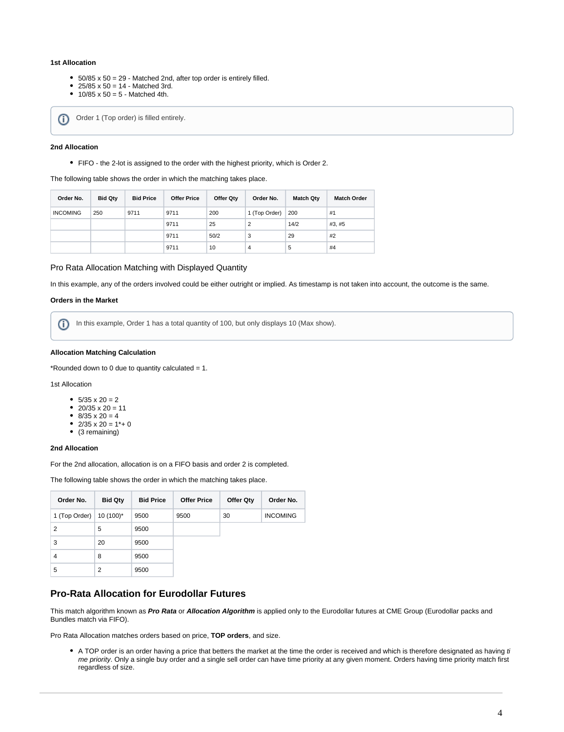#### **1st Allocation**

- $\bullet$  50/85 x 50 = 29 Matched 2nd, after top order is entirely filled.
- $25/85 \times 50 = 14$  Matched 3rd.
- $10/85 \times 50 = 5$  Matched 4th.

Order 1 (Top order) is filled entirely. ന

#### **2nd Allocation**

FIFO - the 2-lot is assigned to the order with the highest priority, which is Order 2.

#### The following table shows the order in which the matching takes place.

| Order No.       | <b>Bid Qty</b> | <b>Bid Price</b> | <b>Offer Price</b> | Offer Qtv | Order No.     | <b>Match Qtv</b> | <b>Match Order</b> |
|-----------------|----------------|------------------|--------------------|-----------|---------------|------------------|--------------------|
| <b>INCOMING</b> | 250            | 9711             | 9711               | 200       | 1 (Top Order) | 200              | #1                 |
|                 |                |                  | 9711               | 25        | 2             | 14/2             | #3, #5             |
|                 |                |                  | 9711               | 50/2      | 3             | 29               | #2                 |
|                 |                |                  | 9711               | 10        | 4             | 5                | #4                 |

#### <span id="page-3-0"></span>Pro Rata Allocation Matching with Displayed Quantity

In this example, any of the orders involved could be either outright or implied. As timestamp is not taken into account, the outcome is the same.

#### **Orders in the Market**

In this example, Order 1 has a total quantity of 100, but only displays 10 (Max show). ൘

#### **Allocation Matching Calculation**

\*Rounded down to 0 due to quantity calculated  $= 1$ .

1st Allocation

- $5/35 \times 20 = 2$
- $20/35 \times 20 = 11$
- $8/35 \times 20 = 4$
- $2/35 \times 20 = 1* + 0$
- (3 remaining)

#### **2nd Allocation**

For the 2nd allocation, allocation is on a FIFO basis and order 2 is completed.

The following table shows the order in which the matching takes place.

| Order No.      | <b>Bid Qty</b> | <b>Bid Price</b> | <b>Offer Price</b> | <b>Offer Qty</b> | Order No.       |
|----------------|----------------|------------------|--------------------|------------------|-----------------|
| 1 (Top Order)  | $10(100)^*$    | 9500             | 9500               | 30               | <b>INCOMING</b> |
| $\overline{2}$ | 5              | 9500             |                    |                  |                 |
| 3              | 20             | 9500             |                    |                  |                 |
| 4              | 8              | 9500             |                    |                  |                 |
| 5              | $\overline{2}$ | 9500             |                    |                  |                 |

# <span id="page-3-1"></span>**Pro-Rata Allocation for Eurodollar Futures**

This match algorithm known as **Pro Rata** or **Allocation Algorithm** is applied only to the Eurodollar futures at CME Group (Eurodollar packs and Bundles match via FIFO).

Pro Rata Allocation matches orders based on price, **TOP orders**, and size.

• A TOP order is an order having a price that betters the market at the time the order is received and which is therefore designated as having ti me priority. Only a single buy order and a single sell order can have time priority at any given moment. Orders having time priority match first regardless of size.

r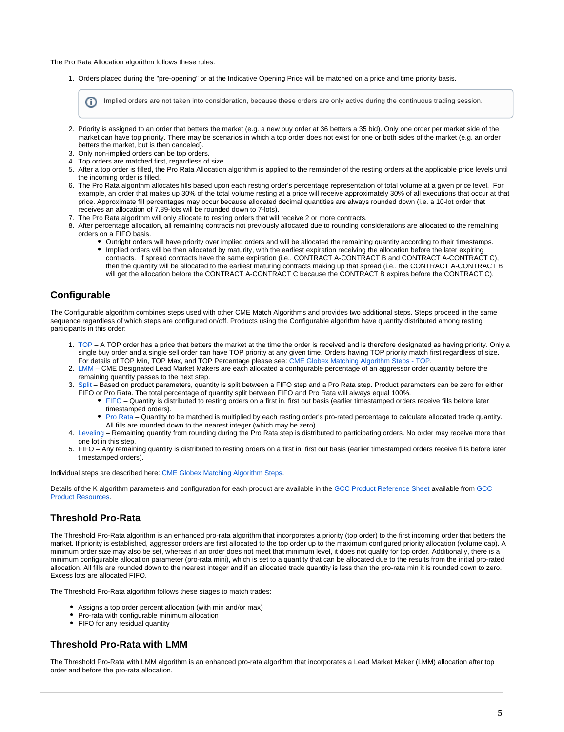The Pro Rata Allocation algorithm follows these rules:

1. Orders placed during the "pre-opening" or at the Indicative Opening Price will be matched on a price and time priority basis.

Implied orders are not taken into consideration, because these orders are only active during the continuous trading session.

- 2. Priority is assigned to an order that betters the market (e.g. a new buy order at 36 betters a 35 bid). Only one order per market side of the market can have top priority. There may be scenarios in which a top order does not exist for one or both sides of the market (e.g. an order betters the market, but is then canceled).
- 3. Only non-implied orders can be top orders.
- 4. Top orders are matched first, regardless of size.
- 5. After a top order is filled, the Pro Rata Allocation algorithm is applied to the remainder of the resting orders at the applicable price levels until the incoming order is filled.
- 6. The Pro Rata algorithm allocates fills based upon each resting order's percentage representation of total volume at a given price level. For example, an order that makes up 30% of the total volume resting at a price will receive approximately 30% of all executions that occur at that price. Approximate fill percentages may occur because allocated decimal quantities are always rounded down (i.e. a 10-lot order that receives an allocation of 7.89-lots will be rounded down to 7-lots).
- 7. The Pro Rata algorithm will only allocate to resting orders that will receive 2 or more contracts.
- 8. After percentage allocation, all remaining contracts not previously allocated due to rounding considerations are allocated to the remaining orders on a FIFO basis.
	- Outright orders will have priority over implied orders and will be allocated the remaining quantity according to their timestamps. Implied orders will be then allocated by maturity, with the earliest expiration receiving the allocation before the later expiring contracts. If spread contracts have the same expiration (i.e., CONTRACT A-CONTRACT B and CONTRACT A-CONTRACT C), then the quantity will be allocated to the earliest maturing contracts making up that spread (i.e., the CONTRACT A-CONTRACT B will get the allocation before the CONTRACT A-CONTRACT C because the CONTRACT B expires before the CONTRACT C).

## <span id="page-4-0"></span>**Configurable**

The Configurable algorithm combines steps used with other CME Match Algorithms and provides two additional steps. Steps proceed in the same sequence regardless of which steps are configured on/off. Products using the Configurable algorithm have quantity distributed among resting participants in this order:

- 1. [TOP](https://www.cmegroup.com/confluence/display/EPICSANDBOX/CME+Globex+Matching+Algorithm+Steps#CMEGlobexMatchingAlgorithmSteps-TOP)  A TOP order has a price that betters the market at the time the order is received and is therefore designated as having priority. Only a single buy order and a single sell order can have TOP priority at any given time. Orders having TOP priority match first regardless of size. For details of TOP Min, TOP Max, and TOP Percentage please see: [CME Globex Matching Algorithm Steps - TOP.](https://www.cmegroup.com/confluence/display/EPICSANDBOX/CME+Globex+Matching+Algorithm+Steps#CMEGlobexMatchingAlgorithmSteps-TOP)
- 2. [LMM](https://www.cmegroup.com/confluence/display/EPICSANDBOX/CME+Globex+Matching+Algorithm+Steps#CMEGlobexMatchingAlgorithmSteps-LMM) CME Designated Lead Market Makers are each allocated a configurable percentage of an aggressor order quantity before the remaining quantity passes to the next step.
- 3. [Split](https://www.cmegroup.com/confluence/display/EPICSANDBOX/CME+Globex+Matching+Algorithm+Steps#CMEGlobexMatchingAlgorithmSteps-Split) Based on product parameters, quantity is split between a FIFO step and a Pro Rata step. Product parameters can be zero for either FIFO or Pro Rata. The total percentage of quantity split between FIFO and Pro Rata will always equal 100%.
	- [FIFO](https://www.cmegroup.com/confluence/display/EPICSANDBOX/CME+Globex+Matching+Algorithm+Steps#CMEGlobexMatchingAlgorithmSteps-FIFO)  Quantity is distributed to resting orders on a first in, first out basis (earlier timestamped orders receive fills before later timestamped orders).
	- $\bullet$ [Pro Rata](https://www.cmegroup.com/confluence/display/EPICSANDBOX/CME+Globex+Matching+Algorithm+Steps#CMEGlobexMatchingAlgorithmSteps-ProRata) – Quantity to be matched is multiplied by each resting order's pro-rated percentage to calculate allocated trade quantity. All fills are rounded down to the nearest integer (which may be zero).
- 4. [Leveling](https://www.cmegroup.com/confluence/display/EPICSANDBOX/CME+Globex+Matching+Algorithm+Steps#CMEGlobexMatchingAlgorithmSteps-Leveling) Remaining quantity from rounding during the Pro Rata step is distributed to participating orders. No order may receive more than one lot in this step.
- 5. FIFO Any remaining quantity is distributed to resting orders on a first in, first out basis (earlier timestamped orders receive fills before later timestamped orders).

Individual steps are described here: [CME Globex Matching Algorithm Steps](https://www.cmegroup.com/confluence/display/EPICSANDBOX/CME+Globex+Matching+Algorithm+Steps).

Details of the K algorithm parameters and configuration for each product are available in the [GCC Product Reference Sheet](http://www.cmegroup.com/globex/files/globex-product-reference-sheet.xls) available from [GCC](https://www.cmegroup.com/confluence/display/EPICSANDBOX/GCC+Product+Resources)  [Product Resources](https://www.cmegroup.com/confluence/display/EPICSANDBOX/GCC+Product+Resources).

## <span id="page-4-1"></span>**Threshold Pro-Rata**

The Threshold Pro-Rata algorithm is an enhanced pro-rata algorithm that incorporates a priority (top order) to the first incoming order that betters the market. If priority is established, aggressor orders are first allocated to the top order up to the maximum configured priority allocation (volume cap). A minimum order size may also be set, whereas if an order does not meet that minimum level, it does not qualify for top order. Additionally, there is a minimum configurable allocation parameter (pro-rata mini), which is set to a quantity that can be allocated due to the results from the initial pro-rated allocation. All fills are rounded down to the nearest integer and if an allocated trade quantity is less than the pro-rata min it is rounded down to zero. Excess lots are allocated FIFO.

The Threshold Pro-Rata algorithm follows these stages to match trades:

- Assigns a top order percent allocation (with min and/or max)
- Pro-rata with configurable minimum allocation
- FIFO for any residual quantity

### <span id="page-4-2"></span>**Threshold Pro-Rata with LMM**

The Threshold Pro-Rata with LMM algorithm is an enhanced pro-rata algorithm that incorporates a Lead Market Maker (LMM) allocation after top order and before the pro-rata allocation.